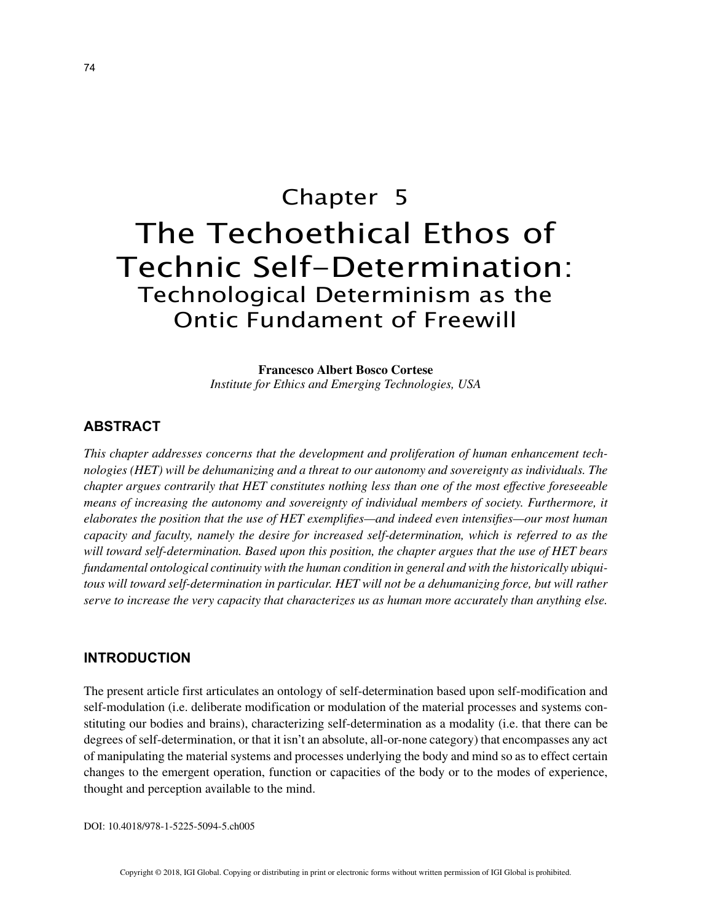# Chapter 5 The Techoethical Ethos of Technic Self-Determination: Technological Determinism as the Ontic Fundament of Freewill

**Francesco Albert Bosco Cortese** *Institute for Ethics and Emerging Technologies, USA*

# **ABSTRACT**

*This chapter addresses concerns that the development and proliferation of human enhancement technologies (HET) will be dehumanizing and a threat to our autonomy and sovereignty as individuals. The chapter argues contrarily that HET constitutes nothing less than one of the most effective foreseeable means of increasing the autonomy and sovereignty of individual members of society. Furthermore, it elaborates the position that the use of HET exemplifies—and indeed even intensifies—our most human capacity and faculty, namely the desire for increased self-determination, which is referred to as the will toward self-determination. Based upon this position, the chapter argues that the use of HET bears fundamental ontological continuity with the human condition in general and with the historically ubiquitous will toward self-determination in particular. HET will not be a dehumanizing force, but will rather serve to increase the very capacity that characterizes us as human more accurately than anything else.*

## **INTRODUCTION**

The present article first articulates an ontology of self-determination based upon self-modification and self-modulation (i.e. deliberate modification or modulation of the material processes and systems constituting our bodies and brains), characterizing self-determination as a modality (i.e. that there can be degrees of self-determination, or that it isn't an absolute, all-or-none category) that encompasses any act of manipulating the material systems and processes underlying the body and mind so as to effect certain changes to the emergent operation, function or capacities of the body or to the modes of experience, thought and perception available to the mind.

DOI: 10.4018/978-1-5225-5094-5.ch005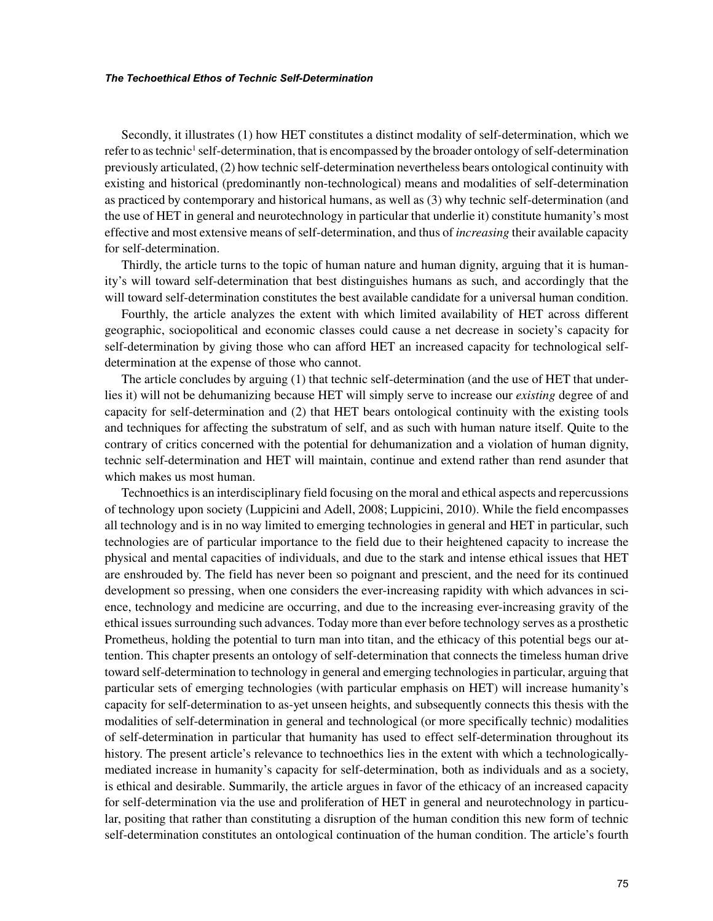Secondly, it illustrates (1) how HET constitutes a distinct modality of self-determination, which we refer to as technic<sup>1</sup> self-determination, that is encompassed by the broader ontology of self-determination previously articulated, (2) how technic self-determination nevertheless bears ontological continuity with existing and historical (predominantly non-technological) means and modalities of self-determination as practiced by contemporary and historical humans, as well as (3) why technic self-determination (and the use of HET in general and neurotechnology in particular that underlie it) constitute humanity's most effective and most extensive means of self-determination, and thus of *increasing* their available capacity for self-determination.

Thirdly, the article turns to the topic of human nature and human dignity, arguing that it is humanity's will toward self-determination that best distinguishes humans as such, and accordingly that the will toward self-determination constitutes the best available candidate for a universal human condition.

Fourthly, the article analyzes the extent with which limited availability of HET across different geographic, sociopolitical and economic classes could cause a net decrease in society's capacity for self-determination by giving those who can afford HET an increased capacity for technological selfdetermination at the expense of those who cannot.

The article concludes by arguing (1) that technic self-determination (and the use of HET that underlies it) will not be dehumanizing because HET will simply serve to increase our *existing* degree of and capacity for self-determination and (2) that HET bears ontological continuity with the existing tools and techniques for affecting the substratum of self, and as such with human nature itself. Quite to the contrary of critics concerned with the potential for dehumanization and a violation of human dignity, technic self-determination and HET will maintain, continue and extend rather than rend asunder that which makes us most human.

Technoethics is an interdisciplinary field focusing on the moral and ethical aspects and repercussions of technology upon society (Luppicini and Adell, 2008; Luppicini, 2010). While the field encompasses all technology and is in no way limited to emerging technologies in general and HET in particular, such technologies are of particular importance to the field due to their heightened capacity to increase the physical and mental capacities of individuals, and due to the stark and intense ethical issues that HET are enshrouded by. The field has never been so poignant and prescient, and the need for its continued development so pressing, when one considers the ever-increasing rapidity with which advances in science, technology and medicine are occurring, and due to the increasing ever-increasing gravity of the ethical issues surrounding such advances. Today more than ever before technology serves as a prosthetic Prometheus, holding the potential to turn man into titan, and the ethicacy of this potential begs our attention. This chapter presents an ontology of self-determination that connects the timeless human drive toward self-determination to technology in general and emerging technologies in particular, arguing that particular sets of emerging technologies (with particular emphasis on HET) will increase humanity's capacity for self-determination to as-yet unseen heights, and subsequently connects this thesis with the modalities of self-determination in general and technological (or more specifically technic) modalities of self-determination in particular that humanity has used to effect self-determination throughout its history. The present article's relevance to technoethics lies in the extent with which a technologicallymediated increase in humanity's capacity for self-determination, both as individuals and as a society, is ethical and desirable. Summarily, the article argues in favor of the ethicacy of an increased capacity for self-determination via the use and proliferation of HET in general and neurotechnology in particular, positing that rather than constituting a disruption of the human condition this new form of technic self-determination constitutes an ontological continuation of the human condition. The article's fourth